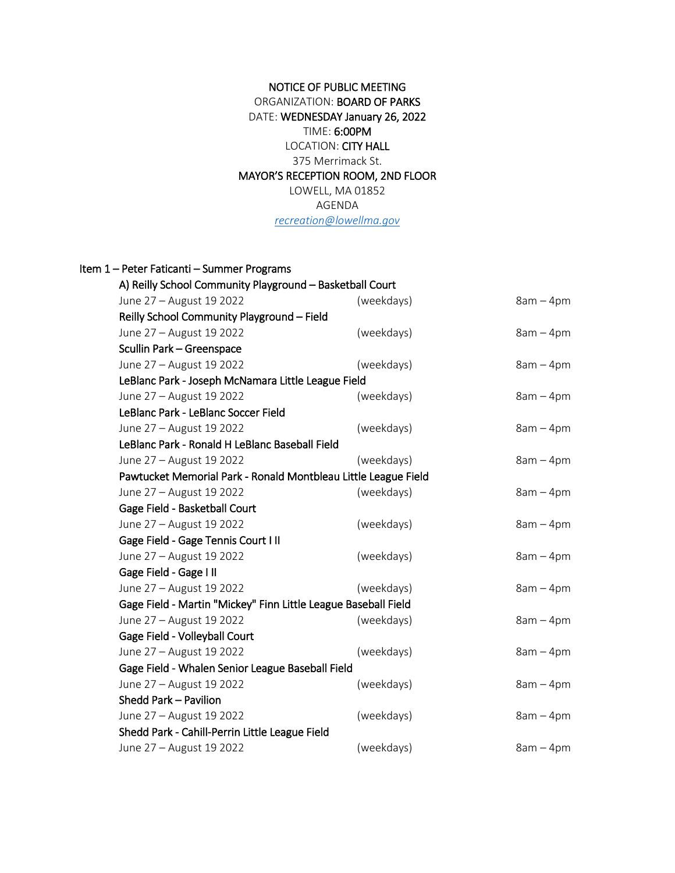## NOTICE OF PUBLIC MEETING ORGANIZATION: BOARD OF PARKS DATE: WEDNESDAY January 26, 2022 TIME: 6:00PM LOCATION: CITY HALL 375 Merrimack St. MAYOR'S RECEPTION ROOM, 2ND FLOOR LOWELL, MA 01852 AGENDA *[recreation@lowellma.gov](mailto:recreation@lowellma.gov)*

| Item 1 - Peter Faticanti - Summer Programs                     |            |             |
|----------------------------------------------------------------|------------|-------------|
| A) Reilly School Community Playground - Basketball Court       |            |             |
| June 27 - August 19 2022                                       | (weekdays) | $8am - 4pm$ |
| Reilly School Community Playground - Field                     |            |             |
| June 27 - August 19 2022                                       | (weekdays) | $8am - 4pm$ |
| Scullin Park - Greenspace                                      |            |             |
| June 27 - August 19 2022                                       | (weekdays) | $8am - 4pm$ |
| LeBlanc Park - Joseph McNamara Little League Field             |            |             |
| June 27 - August 19 2022                                       | (weekdays) | $8am - 4pm$ |
| LeBlanc Park - LeBlanc Soccer Field                            |            |             |
| June 27 - August 19 2022                                       | (weekdays) | $8am - 4pm$ |
| LeBlanc Park - Ronald H LeBlanc Baseball Field                 |            |             |
| June 27 - August 19 2022                                       | (weekdays) | $8am - 4pm$ |
| Pawtucket Memorial Park - Ronald Montbleau Little League Field |            |             |
| June 27 - August 19 2022                                       | (weekdays) | $8am - 4pm$ |
| Gage Field - Basketball Court                                  |            |             |
| June 27 - August 19 2022                                       | (weekdays) | $8am - 4pm$ |
| Gage Field - Gage Tennis Court III                             |            |             |
| June 27 - August 19 2022                                       | (weekdays) | $8am - 4pm$ |
| Gage Field - Gage I II                                         |            |             |
| June 27 - August 19 2022                                       | (weekdays) | $8am - 4pm$ |
| Gage Field - Martin "Mickey" Finn Little League Baseball Field |            |             |
| June 27 - August 19 2022                                       | (weekdays) | $8am - 4pm$ |
| Gage Field - Volleyball Court                                  |            |             |
| June 27 - August 19 2022                                       | (weekdays) | $8am - 4pm$ |
| Gage Field - Whalen Senior League Baseball Field               |            |             |
| June 27 - August 19 2022                                       | (weekdays) | $8am - 4pm$ |
| Shedd Park - Pavilion                                          |            |             |
| June 27 - August 19 2022                                       | (weekdays) | $8am - 4pm$ |
| Shedd Park - Cahill-Perrin Little League Field                 |            |             |
| June 27 - August 19 2022                                       | (weekdays) | $8am - 4pm$ |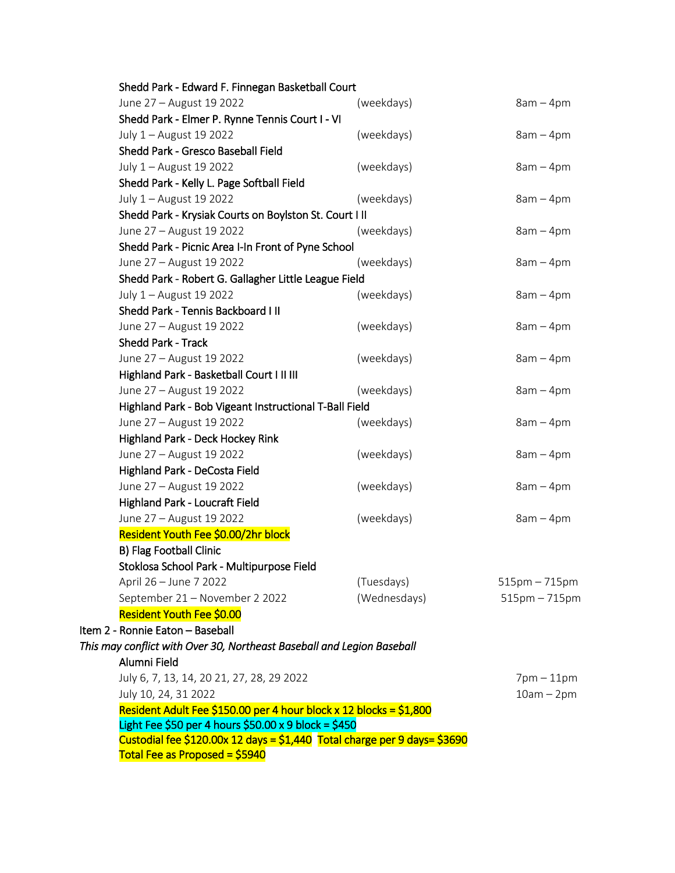|  | Shedd Park - Edward F. Finnegan Basketball Court                                                                                  |              |                 |  |  |
|--|-----------------------------------------------------------------------------------------------------------------------------------|--------------|-----------------|--|--|
|  | June 27 - August 19 2022                                                                                                          | (weekdays)   | $8am - 4pm$     |  |  |
|  | Shedd Park - Elmer P. Rynne Tennis Court I - VI                                                                                   |              |                 |  |  |
|  | July 1 - August 19 2022                                                                                                           | (weekdays)   | $8am - 4pm$     |  |  |
|  | Shedd Park - Gresco Baseball Field                                                                                                |              |                 |  |  |
|  | July 1 - August 19 2022                                                                                                           | (weekdays)   | $8am - 4pm$     |  |  |
|  | Shedd Park - Kelly L. Page Softball Field                                                                                         |              |                 |  |  |
|  | July 1 - August 19 2022                                                                                                           | (weekdays)   | $8am - 4pm$     |  |  |
|  | Shedd Park - Krysiak Courts on Boylston St. Court I II                                                                            |              |                 |  |  |
|  | June 27 - August 19 2022                                                                                                          | (weekdays)   | $8am - 4pm$     |  |  |
|  | Shedd Park - Picnic Area I-In Front of Pyne School                                                                                |              |                 |  |  |
|  | June 27 - August 19 2022                                                                                                          | (weekdays)   | $8am - 4pm$     |  |  |
|  | Shedd Park - Robert G. Gallagher Little League Field                                                                              |              |                 |  |  |
|  | July 1 - August 19 2022                                                                                                           | (weekdays)   | $8am - 4pm$     |  |  |
|  | Shedd Park - Tennis Backboard I II                                                                                                |              |                 |  |  |
|  | June 27 - August 19 2022                                                                                                          | (weekdays)   | $8am - 4pm$     |  |  |
|  | <b>Shedd Park - Track</b>                                                                                                         |              |                 |  |  |
|  | June 27 - August 19 2022                                                                                                          | (weekdays)   | $8am - 4pm$     |  |  |
|  | Highland Park - Basketball Court I II III                                                                                         |              |                 |  |  |
|  | June 27 - August 19 2022                                                                                                          | (weekdays)   | $8am - 4pm$     |  |  |
|  | Highland Park - Bob Vigeant Instructional T-Ball Field                                                                            |              |                 |  |  |
|  | June 27 - August 19 2022                                                                                                          | (weekdays)   | $8am - 4pm$     |  |  |
|  | Highland Park - Deck Hockey Rink                                                                                                  |              |                 |  |  |
|  | June 27 - August 19 2022                                                                                                          | (weekdays)   | $8am - 4pm$     |  |  |
|  | Highland Park - DeCosta Field                                                                                                     |              |                 |  |  |
|  | June 27 - August 19 2022                                                                                                          | (weekdays)   | $8am - 4pm$     |  |  |
|  | Highland Park - Loucraft Field                                                                                                    |              |                 |  |  |
|  | June 27 - August 19 2022                                                                                                          | (weekdays)   | $8am - 4pm$     |  |  |
|  | Resident Youth Fee \$0.00/2hr block                                                                                               |              |                 |  |  |
|  | <b>B) Flag Football Clinic</b>                                                                                                    |              |                 |  |  |
|  | Stoklosa School Park - Multipurpose Field                                                                                         |              |                 |  |  |
|  | April 26 - June 7 2022                                                                                                            | (Tuesdays)   | $515pm - 715pm$ |  |  |
|  | September 21 - November 2 2022                                                                                                    | (Wednesdays) | $515pm - 715pm$ |  |  |
|  | Resident Youth Fee \$0.00                                                                                                         |              |                 |  |  |
|  | Item 2 - Ronnie Eaton - Baseball                                                                                                  |              |                 |  |  |
|  | This may conflict with Over 30, Northeast Baseball and Legion Baseball                                                            |              |                 |  |  |
|  | Alumni Field                                                                                                                      |              |                 |  |  |
|  | July 6, 7, 13, 14, 20 21, 27, 28, 29 2022                                                                                         |              | $7$ pm $-11$ pm |  |  |
|  | July 10, 24, 31 2022                                                                                                              |              | $10am - 2pm$    |  |  |
|  | Resident Adult Fee \$150.00 per 4 hour block x 12 blocks = \$1,800                                                                |              |                 |  |  |
|  | Light Fee \$50 per 4 hours \$50.00 x 9 block = \$450<br>Custodial fee \$120.00x 12 days = \$1,440 Total charge per 9 days= \$3690 |              |                 |  |  |
|  |                                                                                                                                   |              |                 |  |  |
|  | Total Fee as Proposed = \$5940                                                                                                    |              |                 |  |  |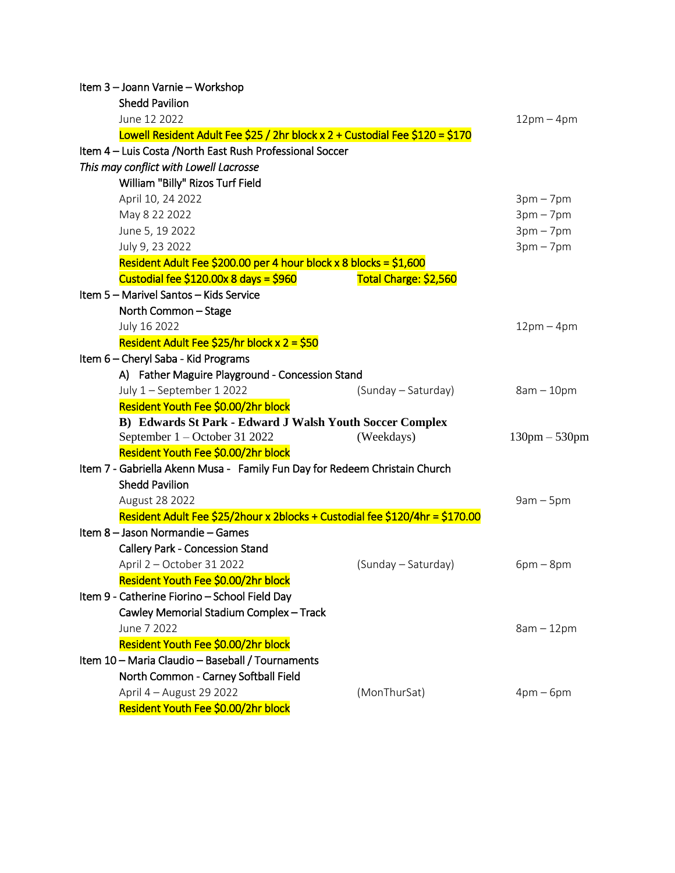| Item 3 - Joann Varnie - Workshop                                                                    |                       |                     |  |  |  |
|-----------------------------------------------------------------------------------------------------|-----------------------|---------------------|--|--|--|
| <b>Shedd Pavilion</b>                                                                               |                       |                     |  |  |  |
| June 12 2022                                                                                        |                       | $12pm-4pm$          |  |  |  |
| Lowell Resident Adult Fee \$25 / 2hr block x 2 + Custodial Fee \$120 = \$170                        |                       |                     |  |  |  |
| Item 4 - Luis Costa / North East Rush Professional Soccer                                           |                       |                     |  |  |  |
| This may conflict with Lowell Lacrosse                                                              |                       |                     |  |  |  |
| William "Billy" Rizos Turf Field                                                                    |                       |                     |  |  |  |
| April 10, 24 2022                                                                                   |                       | $3pm-7pm$           |  |  |  |
| May 8 22 2022                                                                                       |                       | $3pm-7pm$           |  |  |  |
| June 5, 19 2022                                                                                     |                       | $3pm-7pm$           |  |  |  |
| July 9, 23 2022                                                                                     |                       | $3pm-7pm$           |  |  |  |
| Resident Adult Fee \$200.00 per 4 hour block x 8 blocks = \$1,600                                   |                       |                     |  |  |  |
| Custodial fee \$120.00x 8 days = \$960                                                              | Total Charge: \$2,560 |                     |  |  |  |
| Item 5 - Marivel Santos - Kids Service                                                              |                       |                     |  |  |  |
| North Common - Stage                                                                                |                       |                     |  |  |  |
| July 16 2022                                                                                        |                       | $12pm-4pm$          |  |  |  |
| Resident Adult Fee \$25/hr block $x$ 2 = \$50                                                       |                       |                     |  |  |  |
| Item 6 - Cheryl Saba - Kid Programs                                                                 |                       |                     |  |  |  |
| A) Father Maguire Playground - Concession Stand                                                     |                       |                     |  |  |  |
| July 1 - September 1 2022                                                                           | (Sunday – Saturday)   | $8am - 10pm$        |  |  |  |
| Resident Youth Fee \$0.00/2hr block                                                                 |                       |                     |  |  |  |
| B) Edwards St Park - Edward J Walsh Youth Soccer Complex                                            |                       |                     |  |  |  |
| September 1 - October 31 2022                                                                       | (Weekdays)            | $130$ pm $- 530$ pm |  |  |  |
| Resident Youth Fee \$0.00/2hr block                                                                 |                       |                     |  |  |  |
| Item 7 - Gabriella Akenn Musa - Family Fun Day for Redeem Christain Church<br><b>Shedd Pavilion</b> |                       |                     |  |  |  |
| August 28 2022                                                                                      |                       | $9am - 5pm$         |  |  |  |
| Resident Adult Fee \$25/2hour x 2blocks + Custodial fee \$120/4hr = \$170.00                        |                       |                     |  |  |  |
| Item 8 - Jason Normandie - Games                                                                    |                       |                     |  |  |  |
| <b>Callery Park - Concession Stand</b>                                                              |                       |                     |  |  |  |
| April 2 - October 31 2022                                                                           | (Sunday – Saturday)   | $6pm - 8pm$         |  |  |  |
| Resident Youth Fee \$0.00/2hr block                                                                 |                       |                     |  |  |  |
| Item 9 - Catherine Fiorino - School Field Day                                                       |                       |                     |  |  |  |
| Cawley Memorial Stadium Complex - Track                                                             |                       |                     |  |  |  |
| June 7 2022                                                                                         |                       | $8am - 12pm$        |  |  |  |
| Resident Youth Fee \$0.00/2hr block                                                                 |                       |                     |  |  |  |
| Item 10 - Maria Claudio - Baseball / Tournaments                                                    |                       |                     |  |  |  |
| North Common - Carney Softball Field                                                                |                       |                     |  |  |  |
| April 4 - August 29 2022                                                                            | (MonThurSat)          | $4pm-6pm$           |  |  |  |
| Resident Youth Fee \$0.00/2hr block                                                                 |                       |                     |  |  |  |